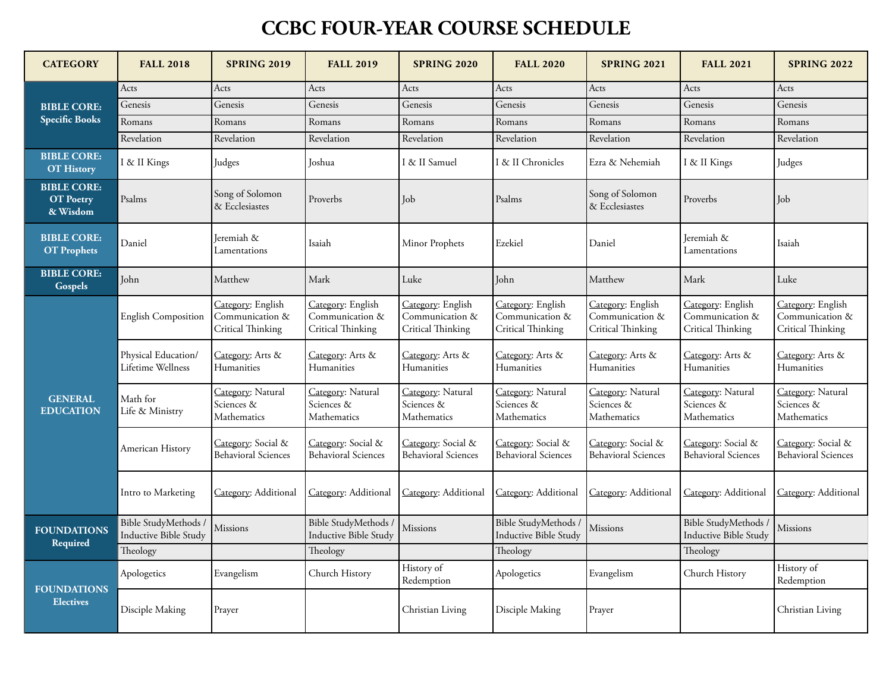## **CCBC FOUR-YEAR COURSE SCHEDULE**

| <b>CATEGORY</b>                                    | <b>FALL 2018</b>                                     | <b>SPRING 2019</b>                                        | <b>FALL 2019</b>                                          | <b>SPRING 2020</b>                                        | <b>FALL 2020</b>                                          | <b>SPRING 2021</b>                                        | <b>FALL 2021</b>                                          | <b>SPRING 2022</b>                                        |
|----------------------------------------------------|------------------------------------------------------|-----------------------------------------------------------|-----------------------------------------------------------|-----------------------------------------------------------|-----------------------------------------------------------|-----------------------------------------------------------|-----------------------------------------------------------|-----------------------------------------------------------|
| <b>BIBLE CORE:</b><br><b>Specific Books</b>        | Acts                                                 | Acts                                                      | Acts                                                      | Acts                                                      | Acts                                                      | Acts                                                      | Acts                                                      | Acts                                                      |
|                                                    | Genesis                                              | Genesis                                                   | Genesis                                                   | Genesis                                                   | Genesis                                                   | Genesis                                                   | Genesis                                                   | Genesis                                                   |
|                                                    | Romans                                               | Romans                                                    | Romans                                                    | Romans                                                    | Romans                                                    | Romans                                                    | Romans                                                    | Romans                                                    |
|                                                    | Revelation                                           | Revelation                                                | Revelation                                                | Revelation                                                | Revelation                                                | Revelation                                                | Revelation                                                | Revelation                                                |
| <b>BIBLE CORE:</b><br><b>OT History</b>            | I & II Kings                                         | Judges                                                    | Joshua                                                    | I & II Samuel                                             | I & II Chronicles                                         | Ezra & Nehemiah                                           | I & II Kings                                              | Judges                                                    |
| <b>BIBLE CORE:</b><br><b>OT</b> Poetry<br>& Wisdom | Psalms                                               | Song of Solomon<br>& Ecclesiastes                         | Proverbs                                                  | Job                                                       | Psalms                                                    | Song of Solomon<br>& Ecclesiastes                         | Proverbs                                                  | Job                                                       |
| <b>BIBLE CORE:</b><br><b>OT</b> Prophets           | Daniel                                               | Jeremiah &<br>Lamentations                                | Isaiah                                                    | Minor Prophets                                            | Ezekiel                                                   | Daniel                                                    | Ieremiah &<br>Lamentations                                | Isaiah                                                    |
| <b>BIBLE CORE:</b><br>Gospels                      | John                                                 | Matthew                                                   | Mark                                                      | Luke                                                      | John                                                      | Matthew                                                   | Mark                                                      | Luke                                                      |
| <b>GENERAL</b><br><b>EDUCATION</b>                 | English Composition                                  | Category: English<br>Communication &<br>Critical Thinking | Category: English<br>Communication &<br>Critical Thinking | Category: English<br>Communication &<br>Critical Thinking | Category: English<br>Communication &<br>Critical Thinking | Category: English<br>Communication &<br>Critical Thinking | Category: English<br>Communication &<br>Critical Thinking | Category: English<br>Communication &<br>Critical Thinking |
|                                                    | Physical Education/<br>Lifetime Wellness             | Category: Arts &<br>Humanities                            | Category: Arts &<br>Humanities                            | Category: Arts &<br>Humanities                            | Category: Arts &<br>Humanities                            | <u>Category</u> : Arts &<br>Humanities                    | Category: Arts &<br>Humanities                            | Category: Arts &<br>Humanities                            |
|                                                    | Math for<br>Life & Ministry                          | Category: Natural<br>Sciences &<br>Mathematics            | Category: Natural<br>Sciences &<br>Mathematics            | Category: Natural<br>Sciences &<br>Mathematics            | Category: Natural<br>Sciences &<br>Mathematics            | Category: Natural<br>Sciences &<br>Mathematics            | Category: Natural<br>Sciences &<br>Mathematics            | Category: Natural<br>Sciences &<br>Mathematics            |
|                                                    | American History                                     | Category: Social &<br><b>Behavioral Sciences</b>          | Category: Social &<br><b>Behavioral Sciences</b>          | Category: Social &<br><b>Behavioral Sciences</b>          | Category: Social &<br><b>Behavioral Sciences</b>          | Category: Social &<br><b>Behavioral Sciences</b>          | Category: Social &<br><b>Behavioral Sciences</b>          | Category: Social &<br><b>Behavioral Sciences</b>          |
|                                                    | Intro to Marketing                                   | Category: Additional                                      | Category: Additional                                      | Category: Additional                                      | Category: Additional                                      | Category: Additional                                      | Category: Additional                                      | Category: Additional                                      |
| <b>FOUNDATIONS</b><br>Required                     | Bible StudyMethods /<br><b>Inductive Bible Study</b> | Missions                                                  | Bible StudyMethods<br><b>Inductive Bible Study</b>        | <b>Missions</b>                                           | Bible StudyMethods /<br><b>Inductive Bible Study</b>      | <b>Missions</b>                                           | Bible StudyMethods /<br>Inductive Bible Study             | Missions                                                  |
|                                                    | Theology                                             |                                                           | Theology                                                  |                                                           | Theology                                                  |                                                           | Theology                                                  |                                                           |
| <b>FOUNDATIONS</b><br><b>Electives</b>             | Apologetics                                          | Evangelism                                                | Church History                                            | History of<br>Redemption                                  | Apologetics                                               | Evangelism                                                | Church History                                            | History of<br>Redemption                                  |
|                                                    | Disciple Making                                      | Prayer                                                    |                                                           | Christian Living                                          | Disciple Making                                           | Prayer                                                    |                                                           | Christian Living                                          |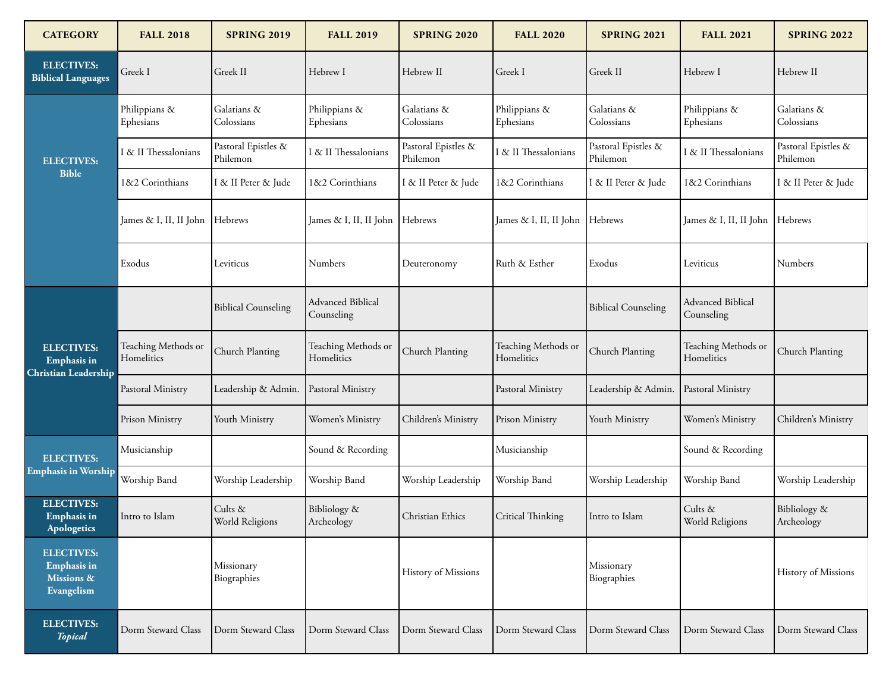| <b>CATEGORY</b>                                                     | <b>FALL 2018</b>                  | <b>SPRING 2019</b>              | <b>FALL 2019</b>                  | <b>SPRING 2020</b>              | <b>FALL 2020</b>                  | <b>SPRING 2021</b>              | <b>FALL 2021</b>                  | <b>SPRING 2022</b>              |
|---------------------------------------------------------------------|-----------------------------------|---------------------------------|-----------------------------------|---------------------------------|-----------------------------------|---------------------------------|-----------------------------------|---------------------------------|
| <b>ELECTIVES:</b><br><b>Biblical Languages</b>                      | Greek I                           | Greek II                        | Hebrew I                          | Hebrew II                       | Greek I                           | Greek II                        | Hebrew I                          | Hebrew II                       |
| <b>ELECTIVES:</b><br><b>Bible</b>                                   | Philippians &<br>Ephesians        | Galatians &<br>Colossians       | Philippians &<br>Ephesians        | Galatians &<br>Colossians       | Philippians &<br>Ephesians        | Galatians &<br>Colossians       | Philippians &<br>Ephesians        | Galatians &<br>Colossians       |
|                                                                     | I & II Thessalonians              | Pastoral Epistles &<br>Philemon | I & II Thessalonians              | Pastoral Epistles &<br>Philemon | & II Thessalonians                | Pastoral Epistles &<br>Philemon | I & II Thessalonians              | Pastoral Epistles &<br>Philemon |
|                                                                     | 1&2 Corinthians                   | I & II Peter & Jude             | 1&2 Corinthians                   | I & II Peter & Jude             | 1&2 Corinthians                   | I & II Peter & Jude             | 1&2 Corinthians                   | I & II Peter & Jude             |
|                                                                     | James & I, II, II John            | Hebrews                         | James & I, II, II John            | Hebrews                         | James & I, II, II John            | Hebrews                         | James & I, II, II John            | Hebrews                         |
|                                                                     | Exodus                            | Leviticus                       | Numbers                           | Deuteronomy                     | Ruth & Esther                     | Exodus                          | Leviticus                         | Numbers                         |
| <b>ELECTIVES:</b><br>Emphasis in<br>Christian Leadership            |                                   | <b>Biblical Counseling</b>      | Advanced Biblical<br>Counseling   |                                 |                                   | <b>Biblical Counseling</b>      | Advanced Biblical<br>Counseling   |                                 |
|                                                                     | Teaching Methods or<br>Homelitics | Church Planting                 | Teaching Methods or<br>Homelitics | Church Planting                 | Teaching Methods or<br>Homelitics | Church Planting                 | Teaching Methods or<br>Homelitics | Church Planting                 |
|                                                                     | Pastoral Ministry                 | Leadership & Admin.             | Pastoral Ministry                 |                                 | Pastoral Ministry                 | Leadership & Admin.             | Pastoral Ministry                 |                                 |
|                                                                     | Prison Ministry                   | Youth Ministry                  | Women's Ministry                  | Children's Ministry             | Prison Ministry                   | Youth Ministry                  | Women's Ministry                  | Children's Ministry             |
| <b>ELECTIVES:</b><br><b>Emphasis in Worship</b>                     | Musicianship                      |                                 | Sound & Recording                 |                                 | Musicianship                      |                                 | Sound & Recording                 |                                 |
|                                                                     | Worship Band                      | Worship Leadership              | Worship Band                      | Worship Leadership              | Worship Band                      | Worship Leadership              | Worship Band                      | Worship Leadership              |
| <b>ELECTIVES:</b><br><b>Emphasis</b> in<br>Apologetics              | Intro to Islam                    | Cults &<br>World Religions      | Bibliology &<br>Archeology        | Christian Ethics                | Critical Thinking                 | Intro to Islam                  | Cults &<br>World Religions        | Bibliology &<br>Archeology      |
| <b>ELECTIVES:</b><br><b>Emphasis in</b><br>Missions &<br>Evangelism |                                   | Missionary<br>Biographies       |                                   | History of Missions             |                                   | Missionary<br>Biographies       |                                   | History of Missions             |
| <b>ELECTIVES:</b><br><b>Topical</b>                                 | Dorm Steward Class                | Dorm Steward Class              | Dorm Steward Class                | Dorm Steward Class              | Dorm Steward Class                | Dorm Steward Class              | Dorm Steward Class                | Dorm Steward Class              |